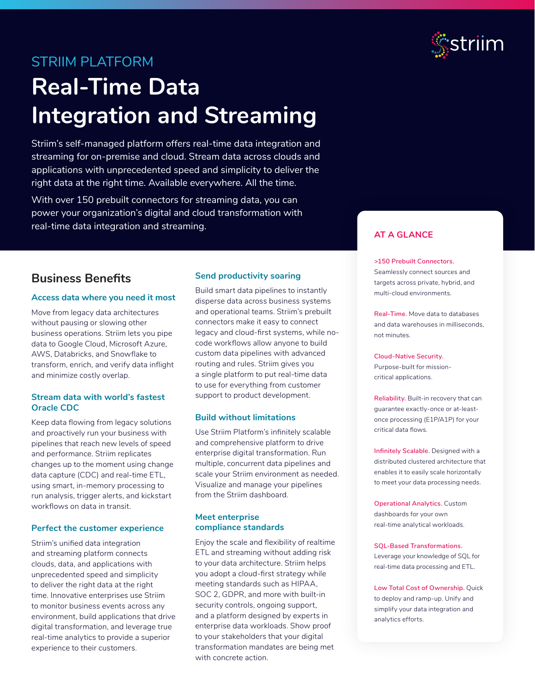## STRIIM PLATFORM

# **Real-Time Data Integration and Streaming**

Striim's self-managed platform offers real-time data integration and streaming for on-premise and cloud. Stream data across clouds and applications with unprecedented speed and simplicity to deliver the right data at the right time. Available everywhere. All the time.

With over 150 prebuilt connectors for streaming data, you can power your organization's digital and cloud transformation with real-time data integration and streaming.

## **Business Benefits**

#### **Access data where you need it most**

Move from legacy data architectures without pausing or slowing other business operations. Striim lets you pipe data to Google Cloud, Microsoft Azure, AWS, Databricks, and Snowflake to transform, enrich, and verify data inflight and minimize costly overlap.

#### **Stream data with world's fastest Oracle CDC**

Keep data flowing from legacy solutions and proactively run your business with pipelines that reach new levels of speed and performance. Striim replicates changes up to the moment using change data capture (CDC) and real-time ETL, using smart, in-memory processing to run analysis, trigger alerts, and kickstart workflows on data in transit.

#### **Perfect the customer experience**

Striim's unified data integration and streaming platform connects clouds, data, and applications with unprecedented speed and simplicity to deliver the right data at the right time. Innovative enterprises use Striim to monitor business events across any environment, build applications that drive digital transformation, and leverage true real-time analytics to provide a superior experience to their customers.

#### **Send productivity soaring**

Build smart data pipelines to instantly disperse data across business systems and operational teams. Striim's prebuilt connectors make it easy to connect legacy and cloud-first systems, while nocode workflows allow anyone to build custom data pipelines with advanced routing and rules. Striim gives you a single platform to put real-time data to use for everything from customer support to product development.

#### **Build without limitations**

Use Striim Platform's infinitely scalable and comprehensive platform to drive enterprise digital transformation. Run multiple, concurrent data pipelines and scale your Striim environment as needed. Visualize and manage your pipelines from the Striim dashboard.

#### **Meet enterprise compliance standards**

Enjoy the scale and flexibility of realtime ETL and streaming without adding risk to your data architecture. Striim helps you adopt a cloud-first strategy while meeting standards such as HIPAA, SOC 2, GDPR, and more with built-in security controls, ongoing support, and a platform designed by experts in enterprise data workloads. Show proof to your stakeholders that your digital transformation mandates are being met with concrete action.



#### **AT A GLANCE**

#### **>150 Prebuilt Connectors.**

Seamlessly connect sources and targets across private, hybrid, and multi-cloud environments.

**Real-Time.** Move data to databases and data warehouses in milliseconds, not minutes.

#### **Cloud-Native Security.**

Purpose-built for missioncritical applications.

**Reliability.** Built-in recovery that can guarantee exactly-once or at-leastonce processing (E1P/A1P) for your critical data flows.

**Infinitely Scalable.** Designed with a distributed clustered architecture that enables it to easily scale horizontally to meet your data processing needs.

**Operational Analytics.** Custom dashboards for your own real-time analytical workloads.

**SQL-Based Transformations.**  Leverage your knowledge of SQL for real-time data processing and ETL.

**Low Total Cost of Ownership.** Quick to deploy and ramp-up. Unify and simplify your data integration and analytics efforts.